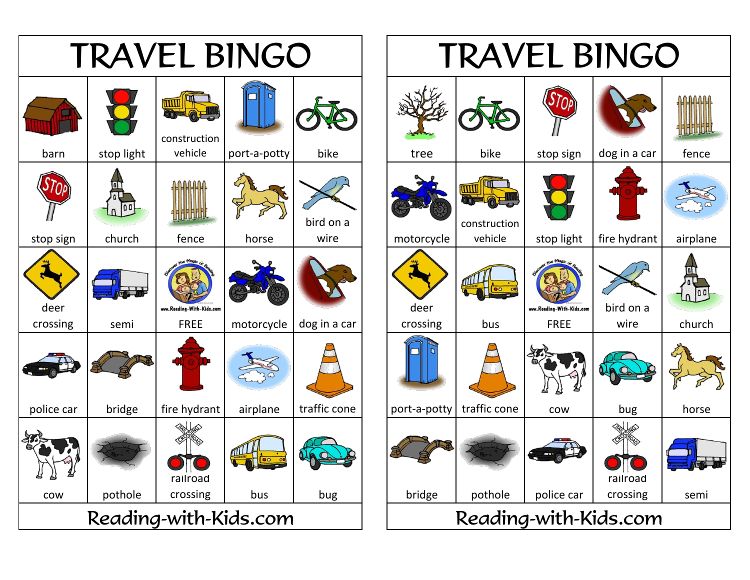

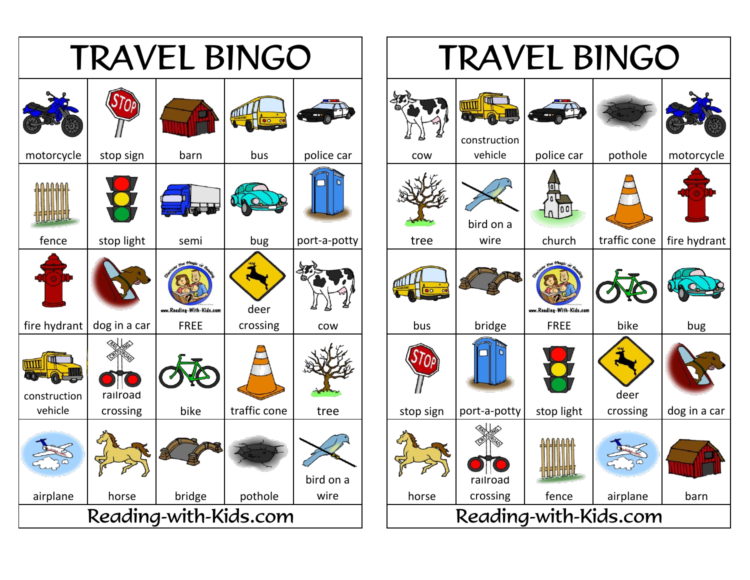

## TRAVEL BINGO **TITTIII** construction vehicle | police car | pothole | motorcycle bird on a wire | church | traffic cone | fire hydrant www.Reading-With-Kids.com crossing | cow | | bus | bridge | FREE | bike | bug deer crossing  $\vert$  dog in a car **HITUTILIL** railroad crossing | fence | airplane | barn Reading-with-Kids.com